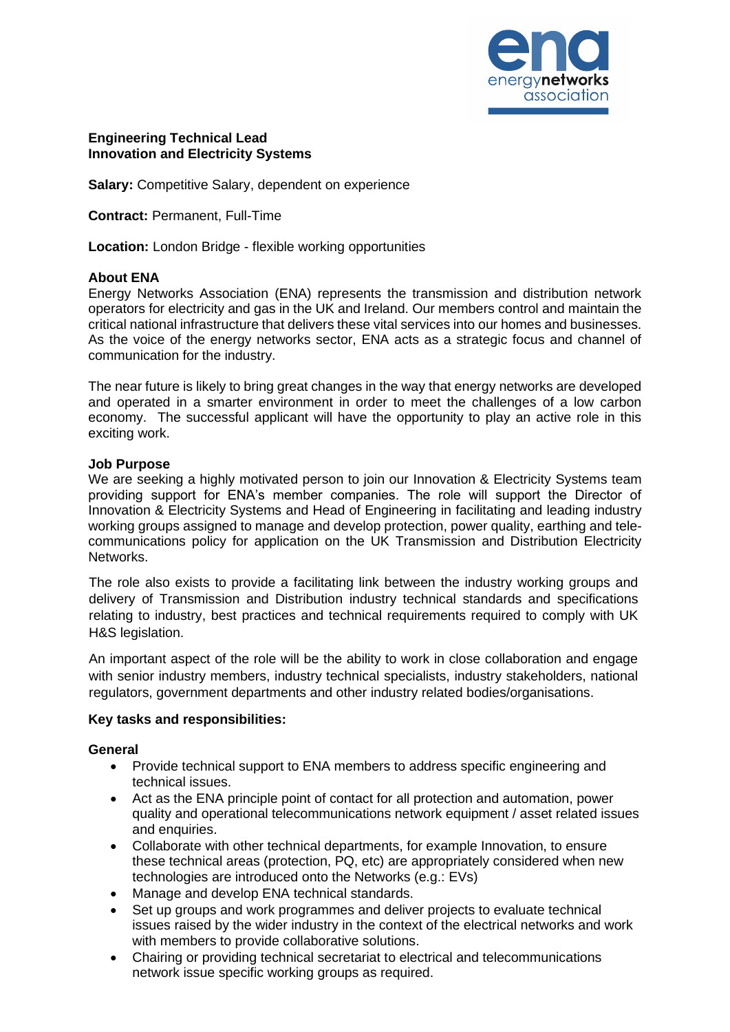

## **Engineering Technical Lead Innovation and Electricity Systems**

**Salary:** Competitive Salary, dependent on experience

**Contract:** Permanent, Full-Time

**Location:** London Bridge - flexible working opportunities

#### **About ENA**

Energy Networks Association (ENA) represents the transmission and distribution network operators for electricity and gas in the UK and Ireland. Our members control and maintain the critical national infrastructure that delivers these vital services into our homes and businesses. As the voice of the energy networks sector, ENA acts as a strategic focus and channel of communication for the industry.

The near future is likely to bring great changes in the way that energy networks are developed and operated in a smarter environment in order to meet the challenges of a low carbon economy. The successful applicant will have the opportunity to play an active role in this exciting work.

#### **Job Purpose**

We are seeking a highly motivated person to join our Innovation & Electricity Systems team providing support for ENA's member companies. The role will support the Director of Innovation & Electricity Systems and Head of Engineering in facilitating and leading industry working groups assigned to manage and develop protection, power quality, earthing and telecommunications policy for application on the UK Transmission and Distribution Electricity Networks.

The role also exists to provide a facilitating link between the industry working groups and delivery of Transmission and Distribution industry technical standards and specifications relating to industry, best practices and technical requirements required to comply with UK H&S legislation.

An important aspect of the role will be the ability to work in close collaboration and engage with senior industry members, industry technical specialists, industry stakeholders, national regulators, government departments and other industry related bodies/organisations.

#### **Key tasks and responsibilities:**

#### **General**

- Provide technical support to ENA members to address specific engineering and technical issues.
- Act as the ENA principle point of contact for all protection and automation, power quality and operational telecommunications network equipment / asset related issues and enquiries.
- Collaborate with other technical departments, for example Innovation, to ensure these technical areas (protection, PQ, etc) are appropriately considered when new technologies are introduced onto the Networks (e.g.: EVs)
- Manage and develop ENA technical standards.
- Set up groups and work programmes and deliver projects to evaluate technical issues raised by the wider industry in the context of the electrical networks and work with members to provide collaborative solutions.
- Chairing or providing technical secretariat to electrical and telecommunications network issue specific working groups as required.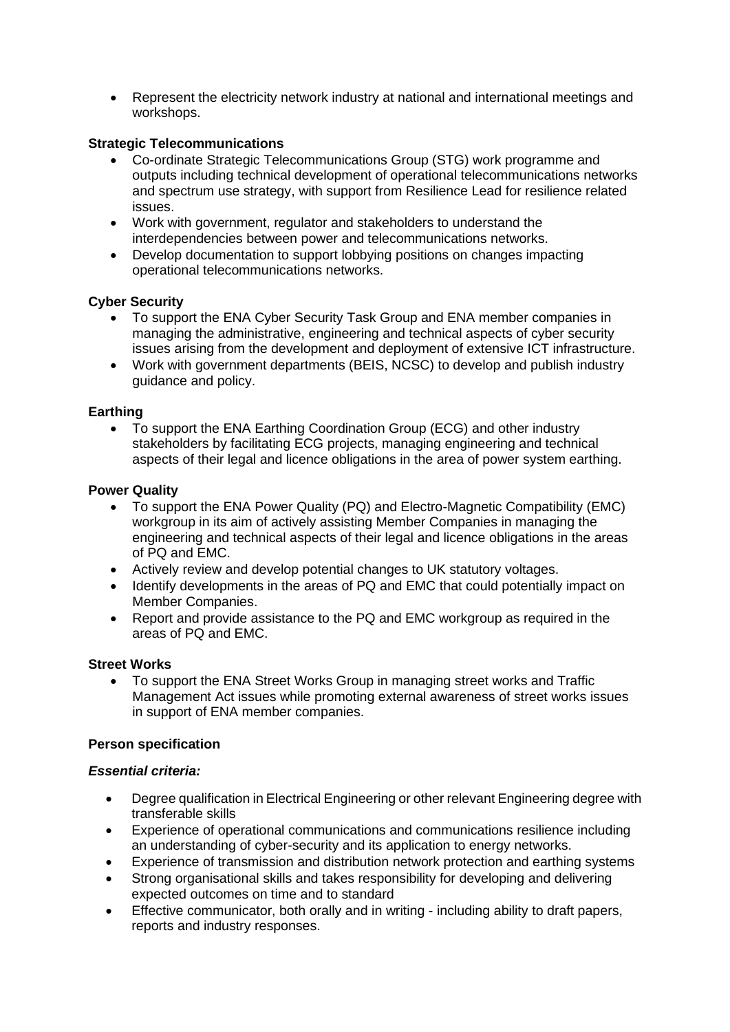• Represent the electricity network industry at national and international meetings and workshops.

# **Strategic Telecommunications**

- Co-ordinate Strategic Telecommunications Group (STG) work programme and outputs including technical development of operational telecommunications networks and spectrum use strategy, with support from Resilience Lead for resilience related issues.
- Work with government, regulator and stakeholders to understand the interdependencies between power and telecommunications networks.
- Develop documentation to support lobbying positions on changes impacting operational telecommunications networks.

## **Cyber Security**

- To support the ENA Cyber Security Task Group and ENA member companies in managing the administrative, engineering and technical aspects of cyber security issues arising from the development and deployment of extensive ICT infrastructure.
- Work with government departments (BEIS, NCSC) to develop and publish industry guidance and policy.

## **Earthing**

• To support the ENA Earthing Coordination Group (ECG) and other industry stakeholders by facilitating ECG projects, managing engineering and technical aspects of their legal and licence obligations in the area of power system earthing.

## **Power Quality**

- To support the ENA Power Quality (PQ) and Electro-Magnetic Compatibility (EMC) workgroup in its aim of actively assisting Member Companies in managing the engineering and technical aspects of their legal and licence obligations in the areas of PQ and EMC.
- Actively review and develop potential changes to UK statutory voltages.
- Identify developments in the areas of PQ and EMC that could potentially impact on Member Companies.
- Report and provide assistance to the PQ and EMC workgroup as required in the areas of PQ and EMC.

## **Street Works**

• To support the ENA Street Works Group in managing street works and Traffic Management Act issues while promoting external awareness of street works issues in support of ENA member companies.

## **Person specification**

## *Essential criteria:*

- Degree qualification in Electrical Engineering or other relevant Engineering degree with transferable skills
- Experience of operational communications and communications resilience including an understanding of cyber-security and its application to energy networks.
- Experience of transmission and distribution network protection and earthing systems
- Strong organisational skills and takes responsibility for developing and delivering expected outcomes on time and to standard
- Effective communicator, both orally and in writing including ability to draft papers, reports and industry responses.